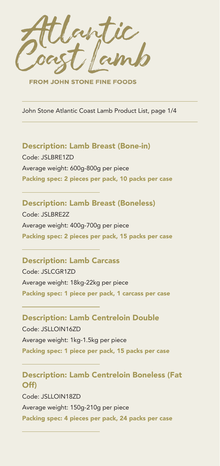

**FROM JOHN STONE FINE FOODS** 

John Stone Atlantic Coast Lamb Product List, page 1/4

### Description: Lamb Breast (Bone-in)

Code: JSLBRE1ZD Average weight: 600g-800g per piece Packing spec: 2 pieces per pack, 10 packs per case

#### Description: Lamb Breast (Boneless)

Code: JSLBRE2Z Average weight: 400g-700g per piece Packing spec: 2 pieces per pack, 15 packs per case

# Description: Lamb Carcass

Code: JSLCGR1ZD Average weight: 18kg-22kg per piece Packing spec: 1 piece per pack, 1 carcass per case

# Description: Lamb Centreloin Double Code: JSLLOIN16ZD

Average weight: 1kg-1.5kg per piece Packing spec: 1 piece per pack, 15 packs per case

# Description: Lamb Centreloin Boneless (Fat Off) Code: JSLLOIN18ZD

Average weight: 150g-210g per piece Packing spec: 4 pieces per pack, 24 packs per case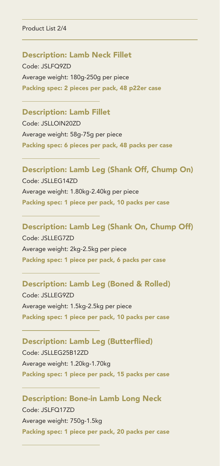#### Product List 2/4

#### Description: Lamb Neck Fillet

Code: JSLFQ9ZD Average weight: 180g-250g per piece Packing spec: 2 pieces per pack, 48 p22er case

#### Description: Lamb Fillet

Code: JSLLOIN20ZD Average weight: 58g-75g per piece Packing spec: 6 pieces per pack, 48 packs per case

#### Description: Lamb Leg (Shank Off, Chump On)

Code: JSLLEG14ZD Average weight: 1.80kg-2.40kg per piece Packing spec: 1 piece per pack, 10 packs per case

# Description: Lamb Leg (Shank On, Chump Off) Code: JSLLEG7ZD

Average weight: 2kg-2.5kg per piece Packing spec: 1 piece per pack, 6 packs per case

# Description: Lamb Leg (Boned & Rolled)

Code: JSLLEG9ZD Average weight: 1.5kg-2.5kg per piece Packing spec: 1 piece per pack, 10 packs per case

# Description: Lamb Leg (Butterflied)

Code: JSLLEG25B12ZD Average weight: 1.20kg-1.70kg Packing spec: 1 piece per pack, 15 packs per case

## Description: Bone-in Lamb Long Neck

Code: JSLFQ17ZD Average weight: 750g-1.5kg Packing spec: 1 piece per pack, 20 packs per case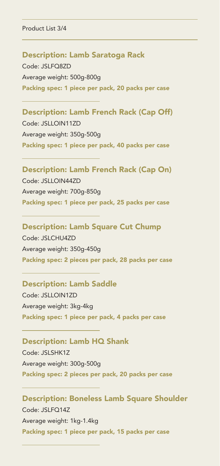Product List 3/4

#### Description: Lamb Saratoga Rack

Code: JSLFQ8ZD Average weight: 500g-800g Packing spec: 1 piece per pack, 20 packs per case

# Description: Lamb French Rack (Cap Off)

Code: JSLLOIN11ZD Average weight: 350g-500g Packing spec: 1 piece per pack, 40 packs per case

# Description: Lamb French Rack (Cap On)

Code: JSLLOIN44ZD Average weight: 700g-850g Packing spec: 1 piece per pack, 25 packs per case

# Description: Lamb Square Cut Chump Code: JSLCHU4ZD

Average weight: 350g-450g Packing spec: 2 pieces per pack, 28 packs per case

#### Description: Lamb Saddle

Code: JSLLOIN1ZD Average weight: 3kg-4kg Packing spec: 1 piece per pack, 4 packs per case

#### Description: Lamb HQ Shank

Code: JSLSHK1Z Average weight: 300g-500g Packing spec: 2 pieces per pack, 20 packs per case

# Description: Boneless Lamb Square Shoulder Code: JSLFQ14Z

Average weight: 1kg-1.4kg Packing spec: 1 piece per pack, 15 packs per case